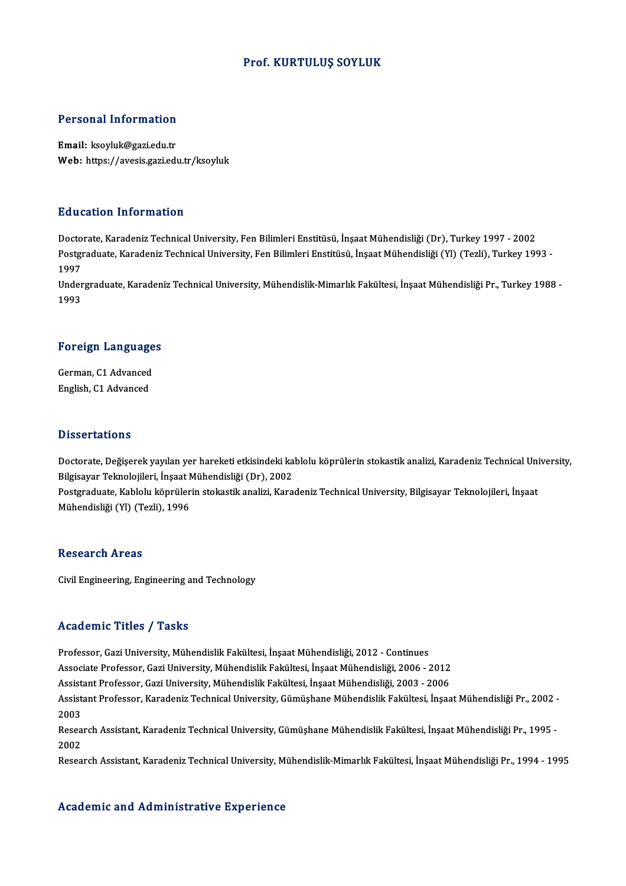## Prof. KURTULUŞ SOYLUK

## Personal Information

Email: ksoyluk@gazi.edu.tr Web: https://avesis.gazi.edu.tr/ksoyluk

### Education Information

<mark>Education Information</mark><br>Doctorate, Karadeniz Technical University, Fen Bilimleri Enstitüsü, İnşaat Mühendisliği (Dr), Turkey 1997 - 2002<br>Postsraduate Karadeniz Technical University, Fen Bilimleri Enstitüsü, İnsaat Mühendis Postgraduate, Karadeniz Technical University, Fen Bilimleri Enstitüsü, İnşaat Mühendisliği (Yl) (Tezli), Turkey 1993 -<br>1997 Docto<br>Postgi<br>1997<br>Under Postgraduate, Karadeniz Technical University, Fen Bilimleri Enstitüsü, İnşaat Mühendisliği (Yl) (Tezli), Turkey 1993 -<br>1997<br>Undergraduate, Karadeniz Technical University, Mühendislik-Mimarlık Fakültesi, İnşaat Mühendisliği

1997<br>Under<br>1993

# 1<sup>993</sup><br>Foreign Languages

Foreign Language<br>German, C1 Advanced<br>English C1 Advanced German, C1 Advanced<br>English, C1 Advanced

### **Dissertations**

Dissertations<br>Doctorate, Değişerek yayılan yer hareketi etkisindeki kablolu köprülerin stokastik analizi, Karadeniz Technical University,<br>Bilgisayar Telmelejileri, İnsast Mühendisliği (Dr.), 2002 Bilgisayar talibileri<br>Doctorate, Değişerek yayılan yer hareketi etkisindeki ka<br>Bilgisayar Teknolojileri, İnşaat Mühendisliği (Dr), 2002<br>Bostanaduate Kablelu könrülerin stekastik analizi, Kara Doctorate, Değişerek yayılan yer hareketi etkisindeki kablolu köprülerin stokastik analizi, Karadeniz Technical Uni<br>Bilgisayar Teknolojileri, İnşaat Mühendisliği (Dr), 2002<br>Postgraduate, Kablolu köprülerin stokastik analiz

Bilgisayar Teknolojileri, İnşaat M<br>Postgraduate, Kablolu köprüler<br>Mühendisliği (Yl) (Tezli), 1996 Mühendisliği (Yl) (Tezli), 1996<br>Research Areas

Civil Engineering, Engineering and Technology

## Academic Titles / Tasks

Professor, Gazi University, Mühendislik Fakültesi, İnşaat Mühendisliği, 2012 - Continues

Associate Professor, Gazi University, Mühendislik Fakültesi, İnşaat Mühendisliği, 2006 - 2012

Professor, Gazi University, Mühendislik Fakültesi, İnşaat Mühendisliği, 2012 - Continues<br>Associate Professor, Gazi University, Mühendislik Fakültesi, İnşaat Mühendisliği, 2006 - 2012<br>Assistant Professor, Gazi University, M

Assistant Professor, Karadeniz Technical University, Gümüşhane Mühendislik Fakültesi, İnşaat Mühendisliği Pr., 2002 -<br>2003 Assist<br>Assist<br>2003<br>Beses Assistant Professor, Karadeniz Technical University, Gümüşhane Mühendislik Fakültesi, İnşaat Mühendisliği Pr., 2002 -<br>2003<br>Research Assistant, Karadeniz Technical University, Gümüşhane Mühendislik Fakültesi, İnşaat Mühendi

2003<br>Resea<br>2002<br>Pesea Research Assistant, Karadeniz Technical University, Gümüşhane Mühendislik Fakültesi, İnşaat Mühendisliği Pr., 1995 -<br>2002<br>Research Assistant, Karadeniz Technical University, Mühendislik-Mimarlık Fakültesi, İnşaat Mühendisl

Research Assistant, Karadeniz Technical University, Mühendislik-Mimarlık Fakültesi, İnşaat Mühendisliği Pr., 1994 - 1995<br>Academic and Administrative Experience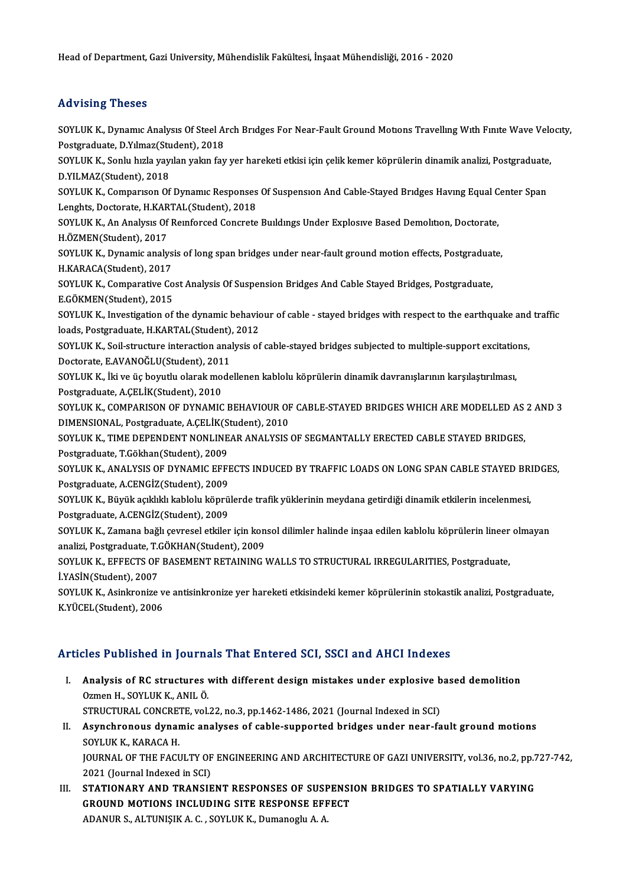Head of Department, Gazi University, Mühendislik Fakültesi, İnşaat Mühendisliği, 2016 - 2020

# Advising Theses

Advising Theses<br>SOYLUK K., Dynamıc Analysıs Of Steel Arch Brıdges For Near-Fault Ground Motions Travelling With Finite Wave Velocity,<br>Postsraduata D.Yılmaz(Student), 2019 Postgraduate, D.Yılmaz (Student), 2018<br>Postgraduate, D.Yılmaz (Student), 2018<br>SOVLUK K. Sonlu hızla yayılan yalan fay SOYLUK K., Dynamıc Analysis Of Steel Arch Bridges For Near-Fault Ground Motions Travelling With Finite Wave Velc<br>Postgraduate, D.Yilmaz(Student), 2018<br>SOYLUK K., Sonlu hızla yayılan yakın fay yer hareketi etkisi için çelik Postgraduate, D.Yılmaz(Student), 2018<br>SOYLUK K., Sonlu hızla yayılan yakın fay<br>D.YILMAZ(Student), 2018 SOYLUK K., Sonlu hızla yayılan yakın fay yer hareketi etkisi için çelik kemer köprülerin dinamik analizi, Postgraduate, D.YILMAZ(Student), 2018<br>SOYLUK K., Comparıson Of Dynamıc Responses Of Suspensıon And Cable-Stayed Brıd SOYLUK K., Comparison Of Dynamic Responses Of Suspension And Cable-Staved Bridges Having Equal Center Span SOYLUK K., Comparison Of Dynamic Responses Of Suspension And Cable-Stayed Bridges Having Equal C<br>Lenghts, Doctorate, H.KARTAL(Student), 2018<br>SOYLUK K., An Analysis Of Reinforced Concrete Buildings Under Explosive Based Dem Lenghts, Doctorate, H.KAR<br>SOYLUK K., An Analysis Of<br>H.ÖZMEN(Student), 2017<br>SOVLUK K., Dimamis analy SOYLUK K., An Analysis Of Reinforced Concrete Buildings Under Explosive Based Demolition, Doctorate,<br>H.ÖZMEN(Student), 2017<br>SOYLUK K., Dynamic analysis of long span bridges under near-fault ground motion effects, Postgradu H.ÖZMEN(Student), 2017<br>SOYLUK K., Dynamic analys<br>H.KARACA(Student), 2017<br>SOVLUK K. Comparative Co SOYLUK K., Dynamic analysis of long span bridges under near-fault ground motion effects, Postgraduat<br>H.KARACA(Student), 2017<br>SOYLUK K., Comparative Cost Analysis Of Suspension Bridges And Cable Stayed Bridges, Postgraduate H.KARACA(Student), 2017<br>SOYLUK K., Comparative Cost Analysis Of Suspension Bridges And Cable Stayed Bridges, Postgraduate,<br>E.GÖKMEN(Student), 2015 SOYLUK K., Comparative Cost Analysis Of Suspension Bridges And Cable Stayed Bridges, Postgraduate,<br>E.GÖKMEN(Student), 2015<br>SOYLUK K., Investigation of the dynamic behaviour of cable - stayed bridges with respect to the ear E.GÖKMEN(Student), 2015<br>SOYLUK K., Investigation of the dynamic behavic<br>loads, Postgraduate, H.KARTAL(Student), 2012<br>SOVLUK K. Soil strugture interaction analysis of SOYLUK K., Investigation of the dynamic behaviour of cable - stayed bridges with respect to the earthquake and<br>loads, Postgraduate, H.KARTAL(Student), 2012<br>SOYLUK K., Soil-structure interaction analysis of cable-stayed bri loads, Postgraduate, H.KARTAL(Student),<br>SOYLUK K., Soil-structure interaction ana<br>Doctorate, E.AVANOĞLU(Student), 2011<br>SOVLUK K., İki ve üs boyutlu olarak moda SOYLUK K., Soil-structure interaction analysis of cable-stayed bridges subjected to multiple-support excitatio<br>Doctorate, E.AVANOĞLU(Student), 2011<br>SOYLUK K., İki ve üç boyutlu olarak modellenen kablolu köprülerin dinamik Doctorate, E.AVANOĞLU(Student), 2011<br>SOYLUK K., İki ve üç boyutlu olarak modellenen kablolu köprülerin dinamik davranışlarının karşılaştırılması,<br>Postgraduate, A.ÇELİK(Student), 2010 SOYLUK K., İki ve üç boyutlu olarak modellenen kablolu köprülerin dinamik davranışlarının karşılaştırılması,<br>Postgraduate, A.ÇELİK(Student), 2010<br>SOYLUK K., COMPARISON OF DYNAMIC BEHAVIOUR OF CABLE-STAYED BRIDGES WHICH ARE Postgraduate, A.ÇELİK(Student), 2010<br>SOYLUK K., COMPARISON OF DYNAMIC BEHAVIOUR OF<br>DIMENSIONAL, Postgraduate, A.ÇELİK(Student), 2010<br>SOYLUK K. TIME DERENDENT NONLINEAR ANALYSIS SOYLUK K., COMPARISON OF DYNAMIC BEHAVIOUR OF CABLE-STAYED BRIDGES WHICH ARE MODELLED AS<br>DIMENSIONAL, Postgraduate, A.ÇELİK(Student), 2010<br>SOYLUK K., TIME DEPENDENT NONLINEAR ANALYSIS OF SEGMANTALLY ERECTED CABLE STAYED BR DIMENSIONAL, Postgraduate, A.ÇELİK(Student), 2010<br>SOYLUK K., TIME DEPENDENT NONLINEAR ANALYSIS OF SEGMANTALLY ERECTED CABLE STAYED BRIDGES,<br>Postgraduate, T.Gökhan(Student), 2009 SOYLUK K., TIME DEPENDENT NONLINEAR ANALYSIS OF SEGMANTALLY ERECTED CABLE STAYED BRIDGES,<br>Postgraduate, T.Gökhan(Student), 2009<br>SOYLUK K., ANALYSIS OF DYNAMIC EFFECTS INDUCED BY TRAFFIC LOADS ON LONG SPAN CABLE STAYED BRID Postgraduate, T.Gökhan(Student), 2009<br>SOYLUK K., ANALYSIS OF DYNAMIC EFFI<br>Postgraduate, A.CENGİZ(Student), 2009<br>SOYLUK K. Büyük serkiti itablelu könnü SOYLUK K., ANALYSIS OF DYNAMIC EFFECTS INDUCED BY TRAFFIC LOADS ON LONG SPAN CABLE STAYED BRI<br>Postgraduate, A.CENGİZ(Student), 2009<br>SOYLUK K., Büyük açıklıklı kablolu köprülerde trafik yüklerinin meydana getirdiği dinamik Postgraduate, A.CENGİZ(Student), 2009<br>SOYLUK K., Büyük açıklıklı kablolu köprü<br>Postgraduate, A.CENGİZ(Student), 2009<br>SOVLUK K. Zamana bağlı sayrasal stirilar SOYLUK K., Büyük açıklıklı kablolu köprülerde trafik yüklerinin meydana getirdiği dinamik etkilerin incelenmesi,<br>Postgraduate, A.CENGİZ(Student), 2009<br>SOYLUK K., Zamana bağlı çevresel etkiler için konsol dilimler halinde i Postgraduate, A.CENGİZ(Student), 2009<br>SOYLUK K., Zamana bağlı çevresel etkiler için konsol dilimler halinde inşaa edilen kablolu köprülerin lineer olmayan<br>analizi, Postgraduate, T.GÖKHAN(Student), 2009 SOYLUK K., Zamana bağlı çevresel etkiler için konsol dilimler halinde inşaa edilen kablolu köprülerin lineer<br>analizi, Postgraduate, T.GÖKHAN(Student), 2009<br>SOYLUK K., EFFECTS OF BASEMENT RETAINING WALLS TO STRUCTURAL IRREG analizi, Postgraduate, T.C<br>SOYLUK K., EFFECTS OF<br>İ.YASİN(Student), 2007<br>SOYLUK K., Asinkponize SOYLUK K., EFFECTS OF BASEMENT RETAINING WALLS TO STRUCTURAL IRREGULARITIES, Postgraduate,<br>İ.YASİN(Student), 2007<br>SOYLUK K., Asinkronize ve antisinkronize yer hareketi etkisindeki kemer köprülerinin stokastik analizi, Post İ.YASİN(Student), 2007<br>SOYLUK K., Asinkronize v<br>K.YÜCEL(Student), 2006 Articles Published in Journals That Entered SCI, SSCI and AHCI Indexes

rticles Published in Journals That Entered SCI, SSCI and AHCI Indexes<br>I. Analysis of RC structures with different design mistakes under explosive based demolition<br>Orman H. SOVIJIK K. ANILO Ozmen H., SOYLUK K., ANIL Ö.<br>STRUCTURAL CONCRETE, vol.22, no.3, pp.1462-1486, 2021 (Journal Indexed in SCI) Analysis of RC structures with different design mistakes under explosive b<br>Ozmen H., SOYLUK K., ANIL Ö.<br>STRUCTURAL CONCRETE, vol.22, no.3, pp.1462-1486, 2021 (Journal Indexed in SCI)<br>Asymetronous dynamic analyses of sable

II. Asynchronous dynamic analyses of cable-supported bridges under near-fault ground motions SOYLUK K., KARACA H. Asynchronous dynamic analyses of cable-supported bridges under near-fault ground motions<br>SOYLUK K., KARACA H.<br>JOURNAL OF THE FACULTY OF ENGINEERING AND ARCHITECTURE OF GAZI UNIVERSITY, vol.36, no.2, pp.727-742,<br>2021 (Journ SOYLUK K., KARACA H.<br>JOURNAL OF THE FACULTY OF<br>2021 (Journal Indexed in SCI)<br>STATIONARY AND TRANSIE I IN IN SOURNAL OF THE FACULTY OF ENGINEERING AND ARCHITECTURE OF GAZI UNIVERSITY, vol.36, no.2, pp.7<br>2021 (Journal Indexed in SCI)<br>III. STATIONARY AND TRANSIENT RESPONSES OF SUSPENSION BRIDGES TO SPATIALLY VARYING<br>CROUND

2021 (Journal Indexed in SCI)<br>STATIONARY AND TRANSIENT RESPONSES OF SUSPENSI<br>GROUND MOTIONS INCLUDING SITE RESPONSE EFFECT<br>ADANUES, ALTINISIX A.C., SOVLUK K. Dumanoglu A.A. GROUND MOTIONS INCLUDING SITE RESPONSE EFFECT<br>ADANUR S., ALTUNIŞIK A. C. , SOYLUK K., Dumanoglu A. A.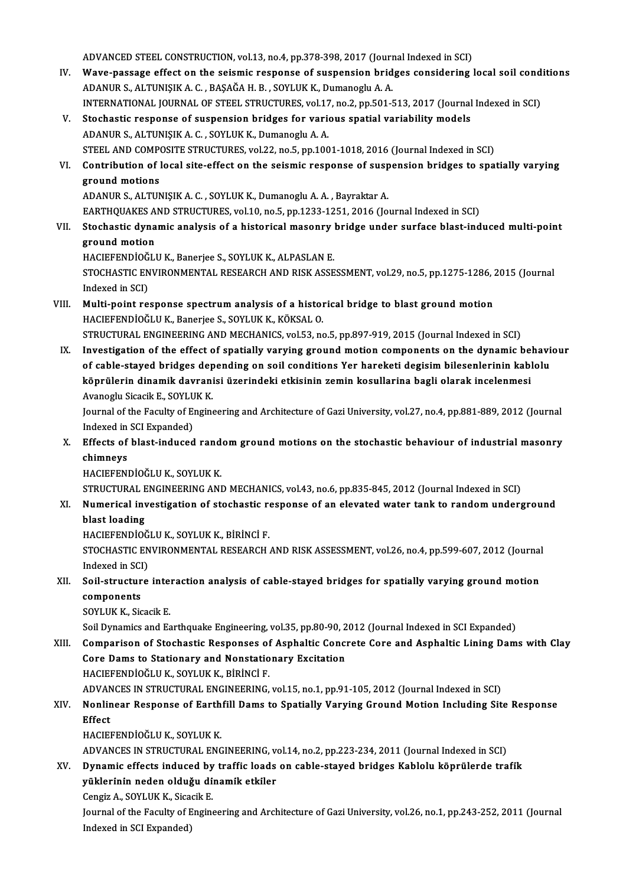ADVANCED STEEL CONSTRUCTION, vol.13, no.4, pp.378-398, 2017 (Journal Indexed in SCI)<br>Ways pessese effect on the seismic response of suspension bridges sonsidering l

- ADVANCED STEEL CONSTRUCTION, vol.13, no.4, pp.378-398, 2017 (Journal Indexed in SCI)<br>IV. Wave-passage effect on the seismic response of suspension bridges considering local soil conditions ADVANCED STEEL CONSTRUCTION, vol.13, no.4, pp.378-398, 2017 (Journ<br>Wave-passage effect on the seismic response of suspension brid<br>ADANUR S., ALTUNIŞIK A. C. , BAŞAĞA H. B. , SOYLUK K., Dumanoglu A. A.<br>INTERNATIONAL JOURNAL Wave-passage effect on the seismic response of suspension bridges considering local soil cond<br>ADANUR S., ALTUNIŞIK A. C. , BAŞAĞA H. B. , SOYLUK K., Dumanoglu A. A.<br>INTERNATIONAL JOURNAL OF STEEL STRUCTURES, vol.17, no.2, ADANUR S., ALTUNIȘIK A. C. , BAȘAĞA H. B. , SOYLUK K., Dumanoglu A. A.<br>INTERNATIONAL JOURNAL OF STEEL STRUCTURES, vol.17, no.2, pp.501-513, 2017 (Journal Indexed in SCI)<br>V. Stochastic response of suspension bridges for
- ADANURS.,ALTUNIŞIKA.C. ,SOYLUKK.,DumanogluA.A. Stochastic response of suspension bridges for various spatial variability models<br>ADANUR S., ALTUNIŞIK A. C. , SOYLUK K., Dumanoglu A. A.<br>STEEL AND COMPOSITE STRUCTURES, vol.22, no.5, pp.1001-1018, 2016 (Journal Indexed in
- VI. Contribution of local site-effect on the seismic response of suspension bridges to spatially varying<br>ground motions STEEL AND COMP<br>Contribution of l<br>ground motions<br>ADANUP S ALTIN ground motions<br>ADANUR S., ALTUNIȘIK A. C. , SOYLUK K., Dumanoglu A. A. , Bayraktar A.<br>EARTHQUAKES AND STRUCTURES, vol.10, no.5, pp.1233-1251, 2016 (Journal Indexed in SCI)<br>Stechestic dunamis analysis of a bistorisel masenz

ADANURS.,ALTUNIŞIKA.C. ,SOYLUKK.,DumanogluA.A. ,BayraktarA.

VII. Stochastic dynamic analysis of a historical masonry bridge under surface blast-induced multi-point ground motion EARTHQUAKES A<br>Stochastic dyna<br>ground motion<br>HACIEEENDIOČIJ

HACIEFENDİOĞLUK.,Banerjee S.,SOYLUKK.,ALPASLANE.

ground motion<br>HACIEFENDİOĞLU K., Banerjee S., SOYLUK K., ALPASLAN E.<br>STOCHASTIC ENVIRONMENTAL RESEARCH AND RISK ASSESSMENT, vol.29, no.5, pp.1275-1286, 2015 (Journal HACIEFENDÍOĞ<br>STOCHASTIC EN<br>Indexed in SCI)<br>Multi noint ro STOCHASTIC ENVIRONMENTAL RESEARCH AND RISK ASSESSMENT, vol.29, no.5, pp.1275-1286, 2<br>Indexed in SCI)<br>VIII. Multi-point response spectrum analysis of a historical bridge to blast ground motion<br>HACIEEENDIOČLU V. Panarios S.

Indexed in SCI)<br>Multi-point response spectrum analysis of a histor<br>HACIEFENDİOĞLU K., Banerjee S., SOYLUK K., KÖKSAL O.<br>STRUCTURAL ENCINEERING AND MECHANICS .vel 53. pa HACIEFENDİOĞLU K., Banerjee S., SOYLUK K., KÖKSAL O.<br>STRUCTURAL ENGINEERING AND MECHANICS, vol.53, no.5, pp.897-919, 2015 (Journal Indexed in SCI)

HACIEFENDİOĞLU K., Banerjee S., SOYLUK K., KÖKSAL O.<br>STRUCTURAL ENGINEERING AND MECHANICS, vol.53, no.5, pp.897-919, 2015 (Journal Indexed in SCI)<br>IX. Investigation of the effect of spatially varying ground motion componen STRUCTURAL ENGINEERING AND MECHANICS, vol.53, no.5, pp.897-919, 2015 (Journal Indexed in SCI)<br>Investigation of the effect of spatially varying ground motion components on the dynamic behavi<br>of cable-stayed bridges dependin Investigation of the effect of spatially varying ground motion components on the dynamic be<br>of cable-stayed bridges depending on soil conditions Yer hareketi degisim bilesenlerinin kabl<br>köprülerin dinamik davranisi üzerind of cable-stayed bridges depending on soil conditions Yer hareketi degisim bilesenlerinin kablolu<br>köprülerin dinamik davranisi üzerindeki etkisinin zemin kosullarina bagli olarak incelenmesi<br>Avanoglu Sicacik E., SOYLUK K. köprülerin dinamik davranisi üzerindeki etkisinin zemin kosullarina bagli olarak incelenmesi<br>Avanoglu Sicacik E., SOYLUK K.<br>Journal of the Faculty of Engineering and Architecture of Gazi University, vol.27, no.4, pp.881-88

Avanoglu Sicacik E., SOYLU<br>Journal of the Faculty of El<br>Indexed in SCI Expanded) Journal of the Faculty of Engineering and Architecture of Gazi University, vol.27, no.4, pp.881-889, 2012 (Journal Indexed in SCI Expanded)<br>X. Effects of blast-induced random ground motions on the stochastic behaviour of i

# Indexed in<br>Effects of<br>chimneys<br>HACIEEEN! Effects of blast-induced rand<br>chimneys<br>HACIEFENDİOĞLU K., SOYLUK K.<br>STRUCTURAL ENCINEERING ANI chimneys<br>HACIEFENDİOĞLU K., SOYLUK K.<br>STRUCTURAL ENGINEERING AND MECHANICS, vol.43, no.6, pp.835-845, 2012 (Journal Indexed in SCI)<br>Numerisel investisation of stochestic response of an elevated water tank to random unders

# HACIEFENDİOĞLU K., SOYLUK K.<br>STRUCTURAL ENGINEERING AND MECHANICS, vol.43, no.6, pp.835-845, 2012 (Journal Indexed in SCI)<br>XI. Numerical investigation of stochastic response of an elevated water tank to random undergro STRUCTURAL E<br>Numerical inv<br>blast loading<br>HACIEEENDIOÒ

HACIEFENDİOĞLU K., SOYLUK K., BİRİNCİ F.

blast loading<br>HACIEFENDİOĞLU K., SOYLUK K., BİRİNCİ F.<br>STOCHASTIC ENVIRONMENTAL RESEARCH AND RISK ASSESSMENT, vol.26, no.4, pp.599-607, 2012 (Journal HACIEFENDIOĞ<br>STOCHASTIC EN<br>Indexed in SCI)<br>Soil stuusture STOCHASTIC ENVIRONMENTAL RESEARCH AND RISK ASSESSMENT, vol.26, no.4, pp.599-607, 2012 (Journal Indexed in SCI)<br>XII. Soil-structure interaction analysis of cable-stayed bridges for spatially varying ground motion<br>components

Indexed in SCI<br>Soil-structur<br>components<br>SOVI UK K Sie Soil-structure inte:<br>components<br>SOYLUK K., Sicacik E.<br>Soil Dynamics and Es components<br>SOYLUK K., Sicacik E.<br>Soil Dynamics and Earthquake Engineering, vol.35, pp.80-90, 2012 (Journal Indexed in SCI Expanded)<br>Comparison of Stochastic Besponses of Asphaltic Concrete Core and Asphaltic Lining Dam

SOYLUK K., Sicacik E.<br>Soil Dynamics and Earthquake Engineering, vol.35, pp.80-90, 2012 (Journal Indexed in SCI Expanded)<br>XIII. Comparison of Stochastic Responses of Asphaltic Concrete Core and Asphaltic Lining Dams with Cl Soil Dynamics and Earthquake Engineering, vol.35, pp.80-90, 2<br>Comparison of Stochastic Responses of Asphaltic Conci<br>Core Dams to Stationary and Nonstationary Excitation<br>HACIEEENDIOČLUK SOVLUKK PRINCLE HACIEFENDİOĞLU K., SOYLUK K., BİRİNCİ F. Core Dams to Stationary and Nonstationary Excitation<br>HACIEFENDİOĞLU K., SOYLUK K., BİRİNCİ F.<br>ADVANCES IN STRUCTURAL ENGINEERING, vol.15, no.1, pp.91-105, 2012 (Journal Indexed in SCI)<br>Nonlinear Besnanse of Farthfill Dams

# HACIEFENDİOĞLU K., SOYLUK K., BİRİNCİ F.<br>ADVANCES IN STRUCTURAL ENGINEERING, vol.15, no.1, pp.91-105, 2012 (Journal Indexed in SCI)<br>XIV. Nonlinear Response of Earthfill Dams to Spatially Varying Ground Motion Including ADVAN<br><mark>Nonlir</mark><br>Effect<br>HACEI Nonlinear Response of Earth<br>Effect<br>HACIEFENDİOĞLU K., SOYLUK K.<br>ADVANCES IN STRUCTURAL ENC Effect<br>HACIEFENDİOĞLU K., SOYLUK K.<br>ADVANCES IN STRUCTURAL ENGINEERING, vol.14, no.2, pp.223-234, 2011 (Journal Indexed in SCI)<br>Dunamia effects indused by traffic loads en sable staved bridges Kablely könnülende tra

HACIEFENDİOĞLU K., SOYLUK K.<br>ADVANCES IN STRUCTURAL ENGINEERING, vol.14, no.2, pp.223-234, 2011 (Journal Indexed in SCI)<br>XV. Dynamic effects induced by traffic loads on cable-stayed bridges Kablolu köprülerde trafik

ADVANCES IN STRUCTURAL ENGINEERING, ve<br>Dynamic effects induced by traffic loads<br>yüklerinin neden olduğu dinamik etkiler<br>Censir A, SOVLUK K, Sisosik E yüklerinin neden olduğu dinamik etkiler<br>Cengiz A., SOYLUK K., Sicacik E.

yüklerinin neden olduğu dinamik etkiler<br>Cengiz A., SOYLUK K., Sicacik E.<br>Journal of the Faculty of Engineering and Architecture of Gazi University, vol.26, no.1, pp.243-252, 2011 (Journal<br>Indeved in SCL Eunended) Cengiz A., SOYLUK K., Sica<br>Journal of the Faculty of E<br>Indexed in SCI Expanded)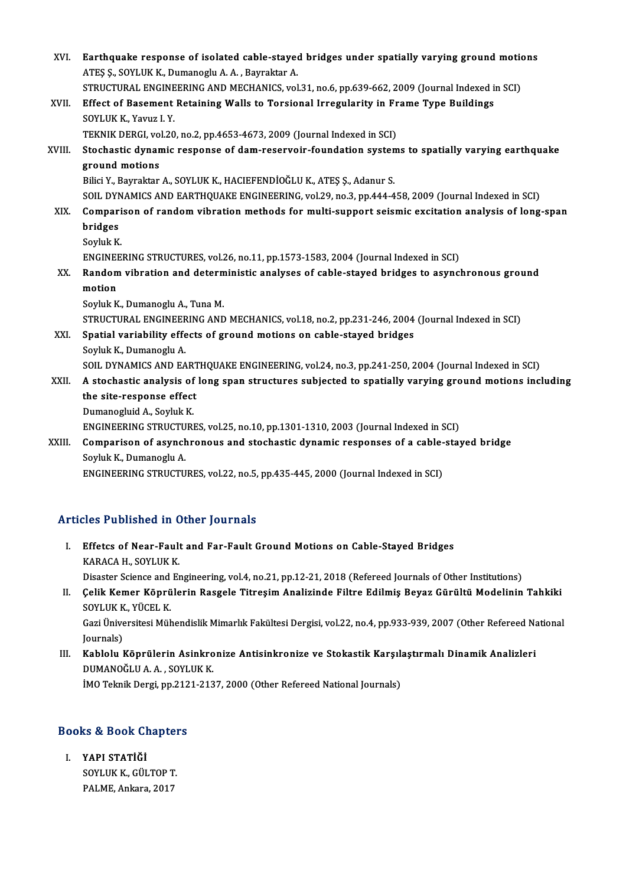| XVI.   | Earthquake response of isolated cable-stayed bridges under spatially varying ground motions<br>ATEŞ Ş., SOYLUK K., Dumanoglu A. A., Bayraktar A. |
|--------|--------------------------------------------------------------------------------------------------------------------------------------------------|
|        | STRUCTURAL ENGINEERING AND MECHANICS, vol.31, no.6, pp.639-662, 2009 (Journal Indexed in SCI)                                                    |
| XVII.  | Effect of Basement Retaining Walls to Torsional Irregularity in Frame Type Buildings                                                             |
|        | SOYLUK K., Yavuz I. Y.                                                                                                                           |
|        | TEKNIK DERGI, vol.20, no.2, pp.4653-4673, 2009 (Journal Indexed in SCI)                                                                          |
| XVIII. | Stochastic dynamic response of dam-reservoir-foundation systems to spatially varying earthquake                                                  |
|        | ground motions                                                                                                                                   |
|        | Bilici Y., Bayraktar A., SOYLUK K., HACIEFENDİOĞLU K., ATEŞ Ş., Adanur S.                                                                        |
|        | SOIL DYNAMICS AND EARTHQUAKE ENGINEERING, vol.29, no.3, pp.444-458, 2009 (Journal Indexed in SCI)                                                |
| XIX.   | Comparison of random vibration methods for multi-support seismic excitation analysis of long-span                                                |
|        | bridges                                                                                                                                          |
|        | Soyluk K                                                                                                                                         |
|        | ENGINEERING STRUCTURES, vol.26, no.11, pp.1573-1583, 2004 (Journal Indexed in SCI)                                                               |
| XX.    | Random vibration and deterministic analyses of cable-stayed bridges to asynchronous ground                                                       |
|        | motion                                                                                                                                           |
|        | Soyluk K., Dumanoglu A., Tuna M.                                                                                                                 |
|        | STRUCTURAL ENGINEERING AND MECHANICS, vol.18, no.2, pp.231-246, 2004 (Journal Indexed in SCI)                                                    |
| XXI.   | Spatial variability effects of ground motions on cable-stayed bridges                                                                            |
|        | Soyluk K., Dumanoglu A.                                                                                                                          |
|        | SOIL DYNAMICS AND EARTHQUAKE ENGINEERING, vol.24, no.3, pp.241-250, 2004 (Journal Indexed in SCI)                                                |
| XXII.  | A stochastic analysis of long span structures subjected to spatially varying ground motions including                                            |
|        | the site-response effect                                                                                                                         |
|        | Dumanogluid A., Soyluk K.                                                                                                                        |
|        | ENGINEERING STRUCTURES, vol.25, no.10, pp.1301-1310, 2003 (Journal Indexed in SCI)                                                               |
| XXIII. | Comparison of asynchronous and stochastic dynamic responses of a cable-stayed bridge                                                             |
|        | Soyluk K., Dumanoglu A.                                                                                                                          |
|        | ENGINEERING STRUCTURES, vol.22, no.5, pp.435-445, 2000 (Journal Indexed in SCI)                                                                  |

# Articles Published in Other Journals

- rticles Published in Other Journals<br>I. Effetcs of Near-Fault and Far-Fault Ground Motions on Cable-Stayed Bridges<br>KARACA H. SOVLUK K Effetcs of Near-Fault<br>Effetcs of Near-Fault<br>KARACA H., SOYLUK K. Effetcs of Near-Fault and Far-Fault Ground Motions on Cable-Stayed Bridges<br>KARACA H., SOYLUK K.<br>Disaster Science and Engineering, vol.4, no.21, pp.12-21, 2018 (Refereed Journals of Other Institutions)<br>Calik Kamar Könnülari KARACA H., SOYLUK K.<br>Disaster Science and Engineering, vol.4, no.21, pp.12-21, 2018 (Refereed Journals of Other Institutions)<br>II. Celik Kemer Köprülerin Rasgele Titreşim Analizinde Filtre Edilmiş Beyaz Gürültü Modelinin Ta
- Disaster Science and<br>**Çelik Kemer Köprü**<br>SOYLUK K., YÜCEL K.<br>Cari Üniversitesi Müh Çelik Kemer Köprülerin Rasgele Titreşim Analizinde Filtre Edilmiş Beyaz Gürültü Modelinin Tahkiki<br>SOYLUK K., YÜCEL K.<br>Gazi Üniversitesi Mühendislik Mimarlık Fakültesi Dergisi, vol.22, no.4, pp.933-939, 2007 (Other Refereed SOYLUK K., YÜCEL K.<br>Gazi Üniversitesi Mühendislik Mimarlık Fakültesi Dergisi, vol.22, no.4, pp.933-939, 2007 (Other Refereed National<br>Journals) Gazi Üniversitesi Mühendislik Mimarlık Fakültesi Dergisi, vol.22, no.4, pp.933-939, 2007 (Other Refereed Nation Journals)<br>III. Kablolu Köprülerin Asinkronize Antisinkronize ve Stokastik Karşılaştırmalı Dinamik Analizleri<br>D
- Journals)<br><mark>Kablolu Köprülerin Asinkro</mark><br>DUMANOĞLU A. A. , SOYLUK K.<br>İMO Telmik Dergi an 2121 212 Kablolu Köprülerin Asinkronize Antisinkronize ve Stokastik Karşıl:<br>DUMANOĞLU A. A. , SOYLUK K.<br>İMO Teknik Dergi, pp.2121-2137, 2000 (Other Refereed National Journals)

# IMO Teknik Dergi, pp.212<br>Books & Book Chapters

ooks & Book Ch<br>I. YAPI STATİĞİ<br>SOVLUK K.CÜL I. YAPI STATIĞI<br>SOYLUK K., GÜLTOP T. PALME, Ankara, 2017